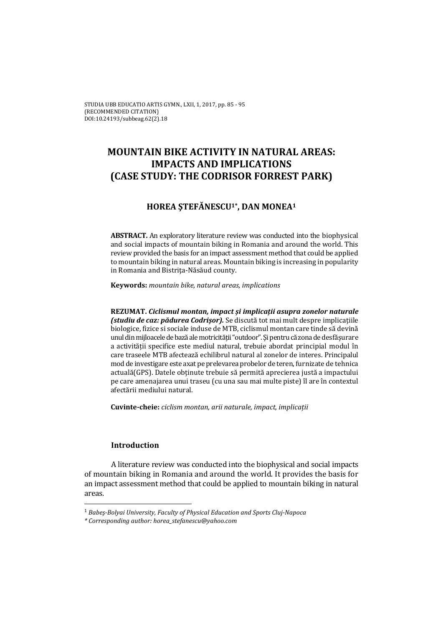# **MOUNTAIN BIKE ACTIVITY IN NATURAL AREAS: IMPACTS AND IMPLICATIONS (CASE STUDY: THE CODRISOR FORREST PARK)**

## **HOREA ŞTEFĂNESCU1\*, DAN MONEA1**

**ABSTRACT.** An exploratory literature review was conducted into the biophysical and social impacts of mountain biking in Romania and around the world. This review provided the basis for an impact assessment method that could be applied to mountain biking in natural areas. Mountain biking is increasing in popularity in Romania and Bistrita-Năsăud county.

**Keywords:** *mountain bike, natural areas, implications*

**REZUMAT.** *Ciclismul montan, impact și implicații asupra zonelor naturale (studiu de caz: pădurea Codrișor).* Se discută tot mai mult despre implicațiile biologice, fizice si sociale induse de MTB, ciclismul montan care tinde să devină unul din mijloacele de bază ale motricității "outdoor". Și pentru că zona de desfășurare a activității specifice este mediul natural, trebuie abordat principial modul în care traseele MTB afectează echilibrul natural al zonelor de interes. Principalul mod de investigare este axat pe prelevarea probelor de teren, furnizate de tehnica actuală(GPS). Datele obtinute trebuie să permită aprecierea justă a impactului pe care amenajarea unui traseu (cu una sau mai multe piste) îl are în contextul afectării mediului natural. 

**Cuvinte‐cheie:** *ciclism montan, arii naturale, impact, implicații*

## **Introduction**

A literature review was conducted into the biophysical and social impacts of mountain biking in Romania and around the world. It provides the basis for an impact assessment method that could be applied to mountain biking in natural areas. 

<sup>1</sup> *Babeş‐Bolyai University, Faculty of Physical Education and Sports Cluj‐Napoca*

*<sup>\*</sup> Corresponding author: horea\_stefanescu@yahoo.com*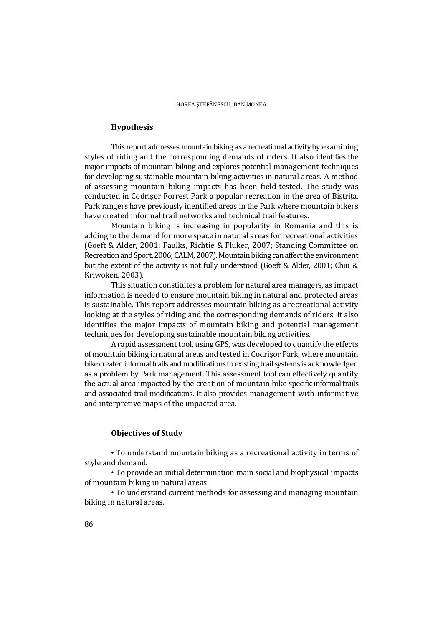#### **Hypothesis**

This report addresses mountain biking as a recreational activity by examining styles of riding and the corresponding demands of riders. It also identifies the major impacts of mountain biking and explores potential management techniques for developing sustainable mountain biking activities in natural areas. A method of assessing mountain biking impacts has been field-tested. The study was conducted in Codrişor Forrest Park a popular recreation in the area of Bistrița. Park rangers have previously identified areas in the Park where mountain bikers have created informal trail networks and technical trail features.

Mountain biking is increasing in popularity in Romania and this is adding to the demand for more space in natural areas for recreational activities (Goeft & Alder, 2001; Faulks, Richtie & Fluker, 2007; Standing Committee on Recreation and Sport, 2006; CALM, 2007). Mountain biking can affect the environment but the extent of the activity is not fully understood (Goeft & Alder, 2001; Chiu & Kriwoken, 2003).

This situation constitutes a problem for natural area managers, as impact information is needed to ensure mountain biking in natural and protected areas is sustainable. This report addresses mountain biking as a recreational activity looking at the styles of riding and the corresponding demands of riders. It also identifies the major impacts of mountain biking and potential management techniques for developing sustainable mountain biking activities.

A rapid assessment tool, using GPS, was developed to quantify the effects of mountain biking in natural areas and tested in Codrisor Park, where mountain bike created informal trails and modifications to existing trail systems is acknowledged as a problem by Park management. This assessment tool can effectively quantify the actual area impacted by the creation of mountain bike specific informal trails and associated trail modifications. It also provides management with informative and interpretive maps of the impacted area.

#### **Objectives of Study**

• To understand mountain biking as a recreational activity in terms of style and demand.

• To provide an initial determination main social and biophysical impacts of mountain biking in natural areas.

• To understand current methods for assessing and managing mountain biking in natural areas.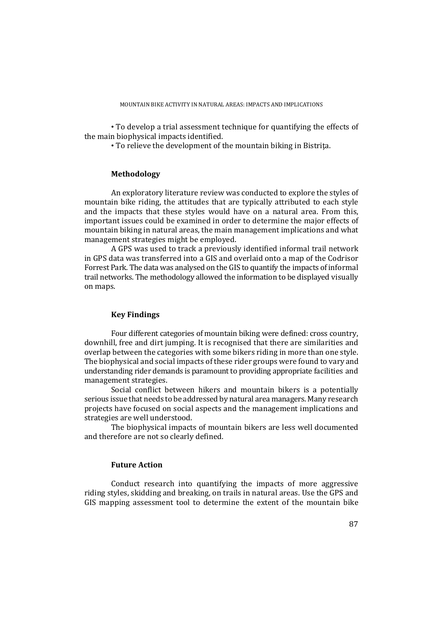• To develop a trial assessment technique for quantifying the effects of the main biophysical impacts identified.

• To relieve the development of the mountain biking in Bistrita.

## **Methodology**

An exploratory literature review was conducted to explore the styles of mountain bike riding, the attitudes that are typically attributed to each style and the impacts that these styles would have on a natural area. From this, important issues could be examined in order to determine the major effects of mountain biking in natural areas, the main management implications and what management strategies might be employed.

A GPS was used to track a previously identified informal trail network in GPS data was transferred into a GIS and overlaid onto a map of the Codrisor Forrest Park. The data was analysed on the GIS to quantify the impacts of informal trail networks. The methodology allowed the information to be displayed visually on maps.

## **Key Findings**

Four different categories of mountain biking were defined: cross country, downhill, free and dirt jumping. It is recognised that there are similarities and overlap between the categories with some bikers riding in more than one style. The biophysical and social impacts of these rider groups were found to vary and understanding rider demands is paramount to providing appropriate facilities and management strategies.

Social conflict between hikers and mountain bikers is a potentially serious issue that needs to be addressed by natural area managers. Many research projects have focused on social aspects and the management implications and strategies are well understood.

The biophysical impacts of mountain bikers are less well documented and therefore are not so clearly defined.

#### **Future Action**

Conduct research into quantifying the impacts of more aggressive riding styles, skidding and breaking, on trails in natural areas. Use the GPS and GIS mapping assessment tool to determine the extent of the mountain bike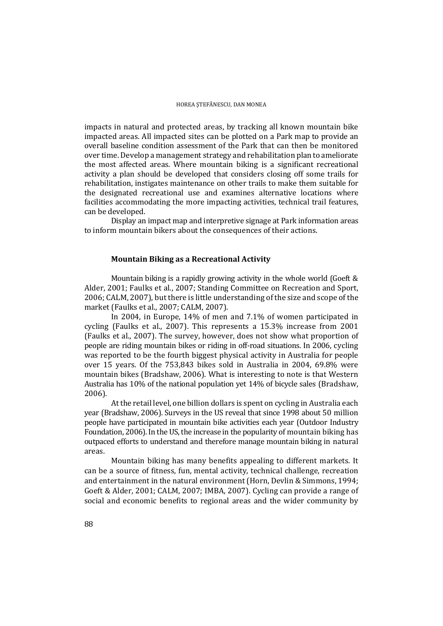impacts in natural and protected areas, by tracking all known mountain bike impacted areas. All impacted sites can be plotted on a Park map to provide an overall baseline condition assessment of the Park that can then be monitored over time. Develop a management strategy and rehabilitation plan to ameliorate the most affected areas. Where mountain biking is a significant recreational activity a plan should be developed that considers closing off some trails for rehabilitation, instigates maintenance on other trails to make them suitable for the designated recreational use and examines alternative locations where facilities accommodating the more impacting activities, technical trail features, can be developed.

Display an impact map and interpretive signage at Park information areas to inform mountain bikers about the consequences of their actions.

#### **Mountain Biking as a Recreational Activity**

Mountain biking is a rapidly growing activity in the whole world (Goeft  $&$ Alder, 2001; Faulks et al., 2007; Standing Committee on Recreation and Sport, 2006; CALM, 2007), but there is little understanding of the size and scope of the market (Faulks et al., 2007; CALM, 2007).

In 2004, in Europe,  $14\%$  of men and  $7.1\%$  of women participated in cycling (Faulks et al., 2007). This represents a 15.3% increase from 2001 (Faulks et al., 2007). The survey, however, does not show what proportion of people are riding mountain bikes or riding in off-road situations. In 2006, cycling was reported to be the fourth biggest physical activity in Australia for people over 15 years. Of the 753,843 bikes sold in Australia in 2004, 69.8% were mountain bikes (Bradshaw, 2006). What is interesting to note is that Western Australia has  $10\%$  of the national population yet  $14\%$  of bicycle sales (Bradshaw, 2006). 

At the retail level, one billion dollars is spent on cycling in Australia each year (Bradshaw, 2006). Surveys in the US reveal that since 1998 about 50 million people have participated in mountain bike activities each year (Outdoor Industry Foundation, 2006). In the US, the increase in the popularity of mountain biking has outpaced efforts to understand and therefore manage mountain biking in natural areas. 

Mountain biking has many benefits appealing to different markets. It can be a source of fitness, fun, mental activity, technical challenge, recreation and entertainment in the natural environment (Horn, Devlin & Simmons, 1994; Goeft & Alder, 2001; CALM, 2007; IMBA, 2007). Cycling can provide a range of social and economic benefits to regional areas and the wider community by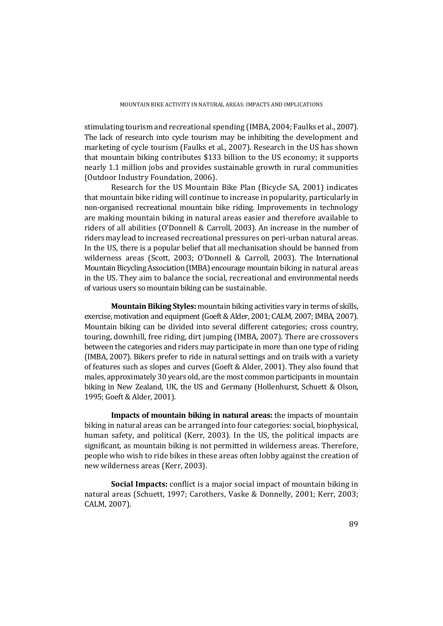stimulating tourism and recreational spending (IMBA, 2004; Faulks et al., 2007). The lack of research into cycle tourism may be inhibiting the development and marketing of cycle tourism (Faulks et al., 2007). Research in the US has shown that mountain biking contributes \$133 billion to the US economy; it supports nearly 1.1 million jobs and provides sustainable growth in rural communities (Outdoor Industry Foundation, 2006).

Research for the US Mountain Bike Plan (Bicycle SA, 2001) indicates that mountain bike riding will continue to increase in popularity, particularly in non-organised recreational mountain bike riding. Improvements in technology are making mountain biking in natural areas easier and therefore available to riders of all abilities  $(O'Donnell & Carroll, 2003)$ . An increase in the number of riders may lead to increased recreational pressures on peri-urban natural areas. In the US, there is a popular belief that all mechanisation should be banned from wilderness areas (Scott, 2003; O'Donnell & Carroll, 2003). The International Mountain Bicycling Association (IMBA) encourage mountain biking in natural areas in the US. They aim to balance the social, recreational and environmental needs of various users so mountain biking can be sustainable.

**Mountain Biking Styles:** mountain biking activities vary in terms of skills, exercise, motivation and equipment (Goeft & Alder, 2001; CALM, 2007; IMBA, 2007). Mountain biking can be divided into several different categories; cross country, touring, downhill, free riding, dirt jumping (IMBA, 2007). There are crossovers between the categories and riders may participate in more than one type of riding (IMBA, 2007). Bikers prefer to ride in natural settings and on trails with a variety of features such as slopes and curves (Goeft & Alder, 2001). They also found that males, approximately 30 years old, are the most common participants in mountain biking in New Zealand, UK, the US and Germany (Hollenhurst, Schuett & Olson, 1995; Goeft & Alder, 2001).

**Impacts of mountain biking in natural areas:** the impacts of mountain biking in natural areas can be arranged into four categories: social, biophysical, human safety, and political (Kerr, 2003). In the US, the political impacts are significant, as mountain biking is not permitted in wilderness areas. Therefore, people who wish to ride bikes in these areas often lobby against the creation of new wilderness areas (Kerr, 2003).

**Social Impacts:** conflict is a major social impact of mountain biking in natural areas (Schuett, 1997; Carothers, Vaske & Donnelly, 2001; Kerr, 2003; CALM, 2007).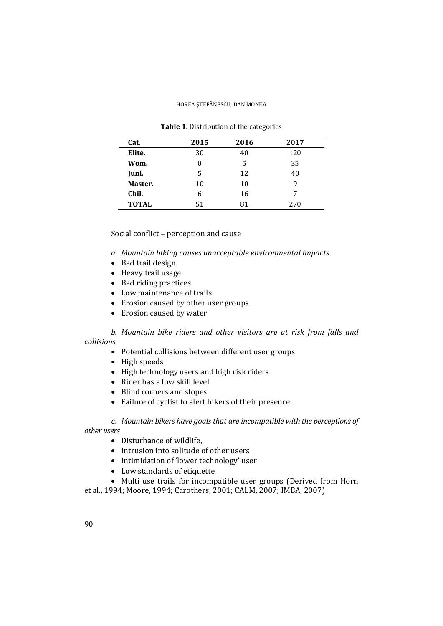| Cat.         | 2015 | 2016 | 2017 |
|--------------|------|------|------|
| Elite.       | 30   | 40   | 120  |
| Wom.         |      | 5    | 35   |
| Juni.        | 5    | 12   | 40   |
| Master.      | 10   | 10   | 9    |
| Chil.        | 6    | 16   | 7    |
| <b>TOTAL</b> | 51   | 81   | 270  |

**Table 1.** Distribution of the categories

Social conflict – perception and cause

- *a. Mountain biking causes unacceptable environmental impacts*
- Bad trail design
- Heavy trail usage
- Bad riding practices
- Low maintenance of trails
- Erosion caused by other user groups
- Erosion caused by water

*b. Mountain bike riders and other visitors are at risk from falls and collisions*

- Potential collisions between different user groups
- $\bullet$  High speeds
- High technology users and high risk riders
- $\bullet$  Rider has a low skill level
- Blind corners and slopes
- Failure of cyclist to alert hikers of their presence

*c. Mountain bikers have goals that are incompatible with the perceptions of other users*

- Disturbance of wildlife.
- Intrusion into solitude of other users
- Intimidation of 'lower technology' user
- Low standards of etiquette

• Multi use trails for incompatible user groups (Derived from Horn et al., 1994; Moore, 1994; Carothers, 2001; CALM, 2007; IMBA, 2007)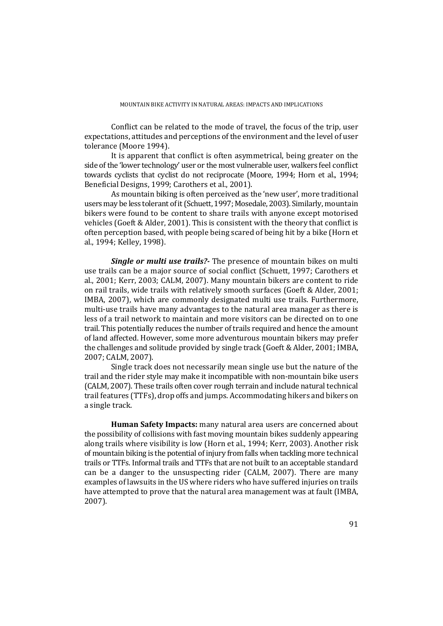Conflict can be related to the mode of travel, the focus of the trip, user expectations, attitudes and perceptions of the environment and the level of user tolerance (Moore 1994).

It is apparent that conflict is often asymmetrical, being greater on the side of the 'lower technology' user or the most vulnerable user, walkers feel conflict towards cyclists that cyclist do not reciprocate (Moore, 1994; Horn et al., 1994; Beneficial Designs, 1999; Carothers et al., 2001).

As mountain biking is often perceived as the 'new user', more traditional users may be less tolerant of it (Schuett, 1997; Mosedale, 2003). Similarly, mountain bikers were found to be content to share trails with anyone except motorised vehicles (Goeft & Alder, 2001). This is consistent with the theory that conflict is often perception based, with people being scared of being hit by a bike (Horn et al., 1994: Kelley, 1998).

**Single** or multi use trails? The presence of mountain bikes on multi use trails can be a major source of social conflict (Schuett, 1997; Carothers et al., 2001; Kerr, 2003; CALM, 2007). Many mountain bikers are content to ride on rail trails, wide trails with relatively smooth surfaces (Goeft & Alder, 2001; IMBA, 2007), which are commonly designated multi use trails. Furthermore, multi-use trails have many advantages to the natural area manager as there is less of a trail network to maintain and more visitors can be directed on to one trail. This potentially reduces the number of trails required and hence the amount of land affected. However, some more adventurous mountain bikers may prefer the challenges and solitude provided by single track (Goeft  $&$  Alder, 2001; IMBA, 2007; CALM, 2007).

Single track does not necessarily mean single use but the nature of the trail and the rider style may make it incompatible with non-mountain bike users (CALM, 2007). These trails often cover rough terrain and include natural technical trail features (TTFs), drop offs and jumps. Accommodating hikers and bikers on a single track.

**Human Safety Impacts:** many natural area users are concerned about the possibility of collisions with fast moving mountain bikes suddenly appearing along trails where visibility is low (Horn et al., 1994; Kerr, 2003). Another risk of mountain biking is the potential of injury from falls when tackling more technical trails or TTFs. Informal trails and TTFs that are not built to an acceptable standard can be a danger to the unsuspecting rider (CALM, 2007). There are many examples of lawsuits in the US where riders who have suffered injuries on trails have attempted to prove that the natural area management was at fault (IMBA, 2007).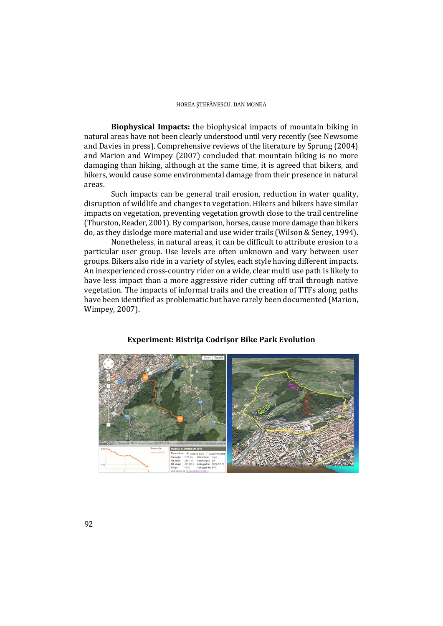**Biophysical Impacts:** the biophysical impacts of mountain biking in natural areas have not been clearly understood until very recently (see Newsome and Davies in press). Comprehensive reviews of the literature by Sprung (2004) and Marion and Wimpey (2007) concluded that mountain biking is no more damaging than hiking, although at the same time, it is agreed that bikers, and hikers, would cause some environmental damage from their presence in natural areas.

Such impacts can be general trail erosion, reduction in water quality, disruption of wildlife and changes to vegetation. Hikers and bikers have similar impacts on vegetation, preventing vegetation growth close to the trail centreline (Thurston, Reader, 2001). By comparison, horses, cause more damage than bikers do, as they dislodge more material and use wider trails (Wilson & Seney, 1994).

Nonetheless, in natural areas, it can be difficult to attribute erosion to a particular user group. Use levels are often unknown and vary between user groups. Bikers also ride in a variety of styles, each style having different impacts. An inexperienced cross-country rider on a wide, clear multi use path is likely to have less impact than a more aggressive rider cutting off trail through native vegetation. The impacts of informal trails and the creation of TTFs along paths have been identified as problematic but have rarely been documented (Marion, Wimpey, 2007).



#### **Experiment: Bistriţa Codrişor Bike Park Evolution**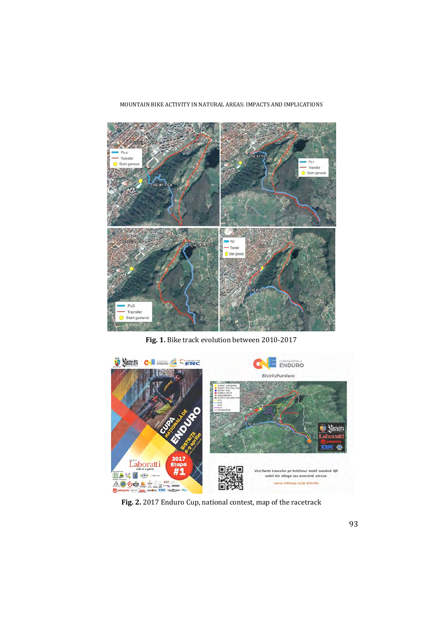#### MOUNTAIN BIKE ACTIVITY IN NATURAL AREAS: IMPACTS AND IMPLICATIONS



Fig. 1. Bike track evolution between 2010-2017



Fig. 2. 2017 Enduro Cup, national contest, map of the racetrack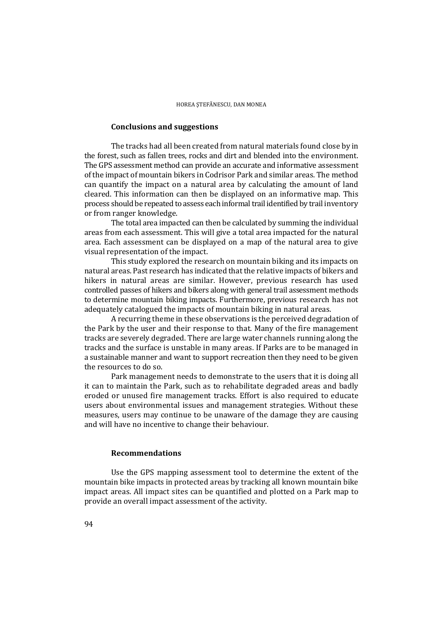#### **Conclusions and suggestions**

The tracks had all been created from natural materials found close by in the forest, such as fallen trees, rocks and dirt and blended into the environment. The GPS assessment method can provide an accurate and informative assessment of the impact of mountain bikers in Codrisor Park and similar areas. The method can quantify the impact on a natural area by calculating the amount of land cleared. This information can then be displayed on an informative map. This process should be repeated to assess each informal trail identified by trail inventory or from ranger knowledge.

The total area impacted can then be calculated by summing the individual areas from each assessment. This will give a total area impacted for the natural area. Each assessment can be displayed on a map of the natural area to give visual representation of the impact.

This study explored the research on mountain biking and its impacts on natural areas. Past research has indicated that the relative impacts of bikers and hikers in natural areas are similar. However, previous research has used controlled passes of hikers and bikers along with general trail assessment methods to determine mountain biking impacts. Furthermore, previous research has not adequately catalogued the impacts of mountain biking in natural areas.

A recurring theme in these observations is the perceived degradation of the Park by the user and their response to that. Many of the fire management tracks are severely degraded. There are large water channels running along the tracks and the surface is unstable in many areas. If Parks are to be managed in a sustainable manner and want to support recreation then they need to be given the resources to do so.

Park management needs to demonstrate to the users that it is doing all it can to maintain the Park, such as to rehabilitate degraded areas and badly eroded or unused fire management tracks. Effort is also required to educate users about environmental issues and management strategies. Without these measures, users may continue to be unaware of the damage they are causing and will have no incentive to change their behaviour.

#### **Recommendations**

Use the GPS mapping assessment tool to determine the extent of the mountain bike impacts in protected areas by tracking all known mountain bike impact areas. All impact sites can be quantified and plotted on a Park map to provide an overall impact assessment of the activity.